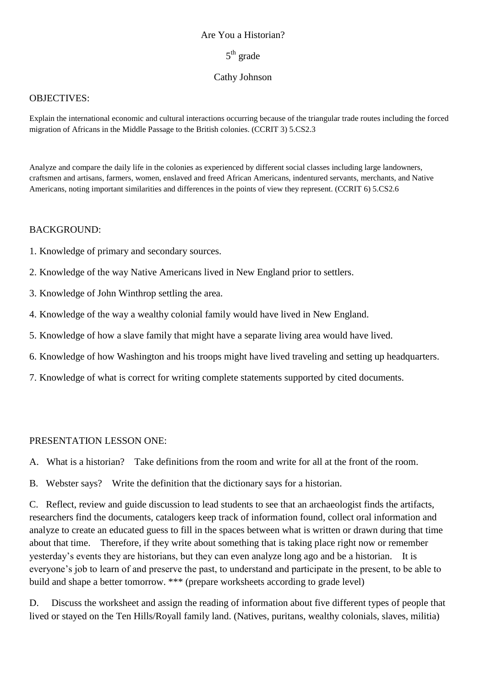### Are You a Historian?

# 5<sup>th</sup> grade

### Cathy Johnson

### OBJECTIVES:

Explain the international economic and cultural interactions occurring because of the triangular trade routes including the forced migration of Africans in the Middle Passage to the British colonies. (CCRIT 3) 5.CS2.3

Analyze and compare the daily life in the colonies as experienced by different social classes including large landowners, craftsmen and artisans, farmers, women, enslaved and freed African Americans, indentured servants, merchants, and Native Americans, noting important similarities and differences in the points of view they represent. (CCRIT 6) 5.CS2.6

### BACKGROUND:

- 1. Knowledge of primary and secondary sources.
- 2. Knowledge of the way Native Americans lived in New England prior to settlers.
- 3. Knowledge of John Winthrop settling the area.
- 4. Knowledge of the way a wealthy colonial family would have lived in New England.
- 5. Knowledge of how a slave family that might have a separate living area would have lived.
- 6. Knowledge of how Washington and his troops might have lived traveling and setting up headquarters.
- 7. Knowledge of what is correct for writing complete statements supported by cited documents.

### PRESENTATION LESSON ONE:

A. What is a historian? Take definitions from the room and write for all at the front of the room.

B. Webster says? Write the definition that the dictionary says for a historian.

C. Reflect, review and guide discussion to lead students to see that an archaeologist finds the artifacts, researchers find the documents, catalogers keep track of information found, collect oral information and analyze to create an educated guess to fill in the spaces between what is written or drawn during that time about that time. Therefore, if they write about something that is taking place right now or remember yesterday's events they are historians, but they can even analyze long ago and be a historian. It is everyone's job to learn of and preserve the past, to understand and participate in the present, to be able to build and shape a better tomorrow. \*\*\* (prepare worksheets according to grade level)

D. Discuss the worksheet and assign the reading of information about five different types of people that lived or stayed on the Ten Hills/Royall family land. (Natives, puritans, wealthy colonials, slaves, militia)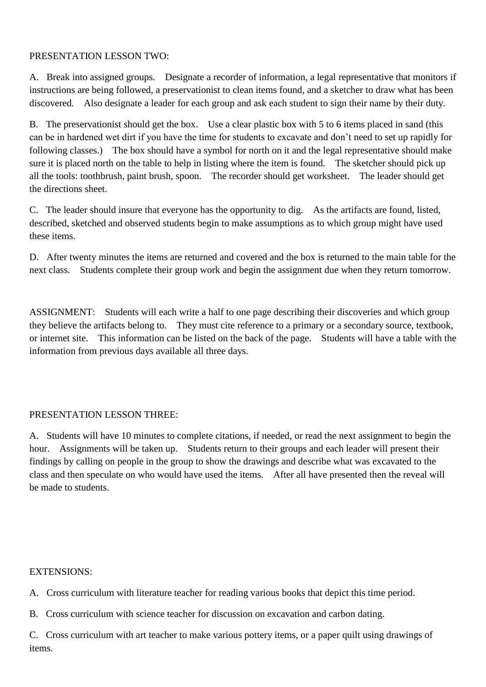### PRESENTATION LESSON TWO:

A. Break into assigned groups. Designate a recorder of information, a legal representative that monitors if instructions are being followed, a preservationist to clean items found, and a sketcher to draw what has been discovered. Also designate a leader for each group and ask each student to sign their name by their duty.

B. The preservationist should get the box. Use a clear plastic box with 5 to 6 items placed in sand (this can be in hardened wet dirt if you have the time for students to excavate and don't need to set up rapidly for following classes.) The box should have a symbol for north on it and the legal representative should make sure it is placed north on the table to help in listing where the item is found. The sketcher should pick up all the tools: toothbrush, paint brush, spoon. The recorder should get worksheet. The leader should get the directions sheet.

C. The leader should insure that everyone has the opportunity to dig. As the artifacts are found, listed, described, sketched and observed students begin to make assumptions as to which group might have used these items.

D. After twenty minutes the items are returned and covered and the box is returned to the main table for the next class. Students complete their group work and begin the assignment due when they return tomorrow.

ASSIGNMENT: Students will each write a half to one page describing their discoveries and which group they believe the artifacts belong to. They must cite reference to a primary or a secondary source, textbook, or internet site. This information can be listed on the back of the page. Students will have a table with the information from previous days available all three days.

## PRESENTATION LESSON THREE:

A. Students will have 10 minutes to complete citations, if needed, or read the next assignment to begin the hour. Assignments will be taken up. Students return to their groups and each leader will present their findings by calling on people in the group to show the drawings and describe what was excavated to the class and then speculate on who would have used the items. After all have presented then the reveal will be made to students.

### EXTENSIONS:

A. Cross curriculum with literature teacher for reading various books that depict this time period.

B. Cross curriculum with science teacher for discussion on excavation and carbon dating.

C. Cross curriculum with art teacher to make various pottery items, or a paper quilt using drawings of items.